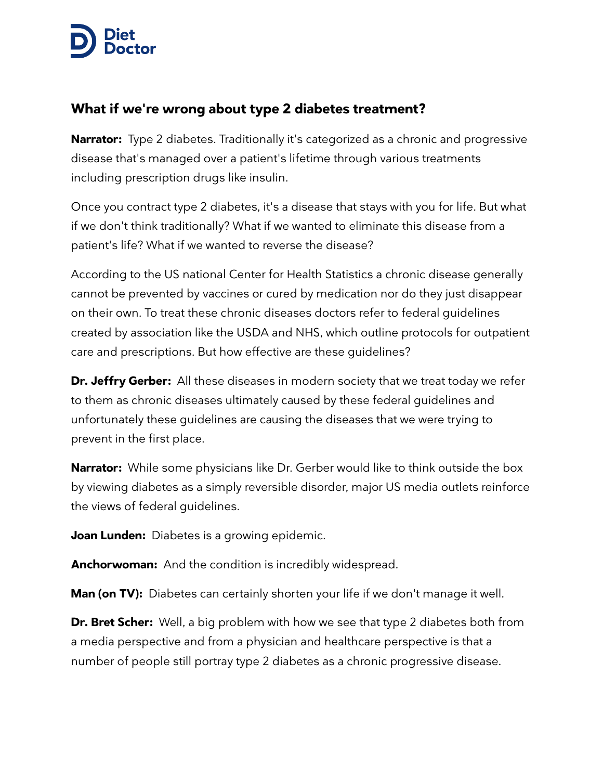## **N** Diet  $\triangleright$  Docto

## **What if we're wrong about type 2 diabetes treatment?**

**Narrator:** Type 2 diabetes. Traditionally it's categorized as a chronic and progressive disease that's managed over a patient's lifetime through various treatments including prescription drugs like insulin.

Once you contract type 2 diabetes, it's a disease that stays with you for life. But what if we don't think traditionally? What if we wanted to eliminate this disease from a patient's life? What if we wanted to reverse the disease?

According to the US national Center for Health Statistics a chronic disease generally cannot be prevented by vaccines or cured by medication nor do they just disappear on their own. To treat these chronic diseases doctors refer to federal guidelines created by association like the USDA and NHS, which outline protocols for outpatient care and prescriptions. But how effective are these guidelines?

**Dr. Jeffry Gerber:** All these diseases in modern society that we treat today we refer to them as chronic diseases ultimately caused by these federal guidelines and unfortunately these guidelines are causing the diseases that we were trying to prevent in the first place.

**Narrator:** While some physicians like Dr. Gerber would like to think outside the box by viewing diabetes as a simply reversible disorder, major US media outlets reinforce the views of federal guidelines.

**Joan Lunden:** Diabetes is a growing epidemic.

**Anchorwoman:** And the condition is incredibly widespread.

**Man (on TV):** Diabetes can certainly shorten your life if we don't manage it well.

**Dr. Bret Scher:** Well, a big problem with how we see that type 2 diabetes both from a media perspective and from a physician and healthcare perspective is that a number of people still portray type 2 diabetes as a chronic progressive disease.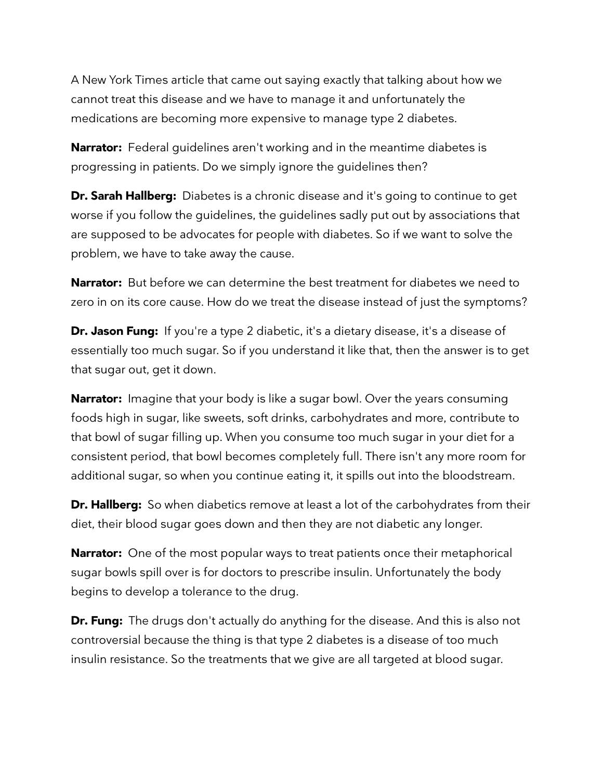A New York Times article that came out saying exactly that talking about how we cannot treat this disease and we have to manage it and unfortunately the medications are becoming more expensive to manage type 2 diabetes.

**Narrator:** Federal quidelines aren't working and in the meantime diabetes is progressing in patients. Do we simply ignore the guidelines then?

**Dr. Sarah Hallberg:** Diabetes is a chronic disease and it's going to continue to get worse if you follow the guidelines, the guidelines sadly put out by associations that are supposed to be advocates for people with diabetes. So if we want to solve the problem, we have to take away the cause.

**Narrator:** But before we can determine the best treatment for diabetes we need to zero in on its core cause. How do we treat the disease instead of just the symptoms?

**Dr. Jason Fung:** If you're a type 2 diabetic, it's a dietary disease, it's a disease of essentially too much sugar. So if you understand it like that, then the answer is to get that sugar out, get it down.

**Narrator:** Imagine that your body is like a sugar bowl. Over the years consuming foods high in sugar, like sweets, soft drinks, carbohydrates and more, contribute to that bowl of sugar filling up. When you consume too much sugar in your diet for a consistent period, that bowl becomes completely full. There isn't any more room for additional sugar, so when you continue eating it, it spills out into the bloodstream.

**Dr. Hallberg:** So when diabetics remove at least a lot of the carbohydrates from their diet, their blood sugar goes down and then they are not diabetic any longer.

**Narrator:** One of the most popular ways to treat patients once their metaphorical sugar bowls spill over is for doctors to prescribe insulin. Unfortunately the body begins to develop a tolerance to the drug.

**Dr. Fung:** The drugs don't actually do anything for the disease. And this is also not controversial because the thing is that type 2 diabetes is a disease of too much insulin resistance. So the treatments that we give are all targeted at blood sugar.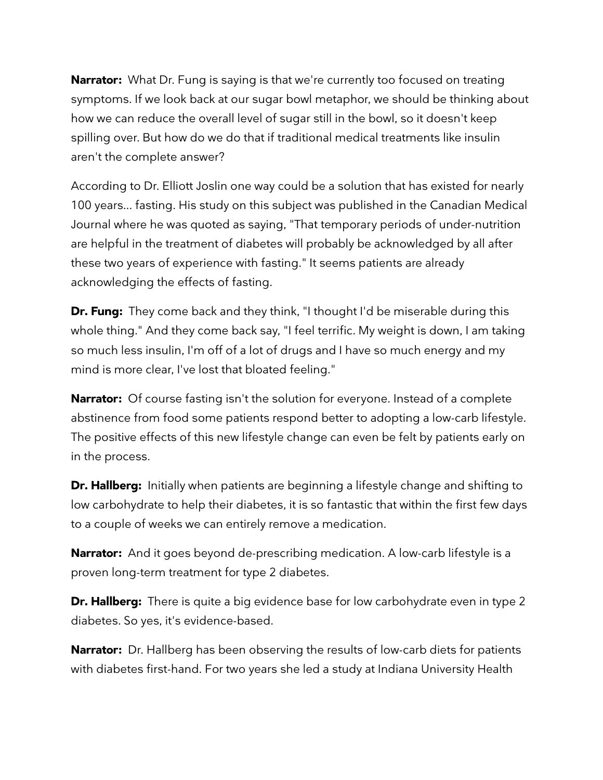**Narrator:** What Dr. Fung is saying is that we're currently too focused on treating symptoms. If we look back at our sugar bowl metaphor, we should be thinking about how we can reduce the overall level of sugar still in the bowl, so it doesn't keep spilling over. But how do we do that if traditional medical treatments like insulin aren't the complete answer?

According to Dr. Elliott Joslin one way could be a solution that has existed for nearly 100 years... fasting. His study on this subject was published in the Canadian Medical Journal where he was quoted as saying, "That temporary periods of under-nutrition are helpful in the treatment of diabetes will probably be acknowledged by all after these two years of experience with fasting." It seems patients are already acknowledging the effects of fasting.

**Dr. Fung:** They come back and they think, "I thought I'd be miserable during this whole thing." And they come back say, "I feel terrific. My weight is down, I am taking so much less insulin, I'm off of a lot of drugs and I have so much energy and my mind is more clear, I've lost that bloated feeling."

**Narrator:** Of course fasting isn't the solution for everyone. Instead of a complete abstinence from food some patients respond better to adopting a low-carb lifestyle. The positive effects of this new lifestyle change can even be felt by patients early on in the process.

**Dr. Hallberg:** Initially when patients are beginning a lifestyle change and shifting to low carbohydrate to help their diabetes, it is so fantastic that within the first few days to a couple of weeks we can entirely remove a medication.

**Narrator:** And it goes beyond de-prescribing medication. A low-carb lifestyle is a proven long-term treatment for type 2 diabetes.

**Dr. Hallberg:** There is quite a big evidence base for low carbohydrate even in type 2 diabetes. So yes, it's evidence-based.

**Narrator:** Dr. Hallberg has been observing the results of low-carb diets for patients with diabetes first-hand. For two years she led a study at Indiana University Health